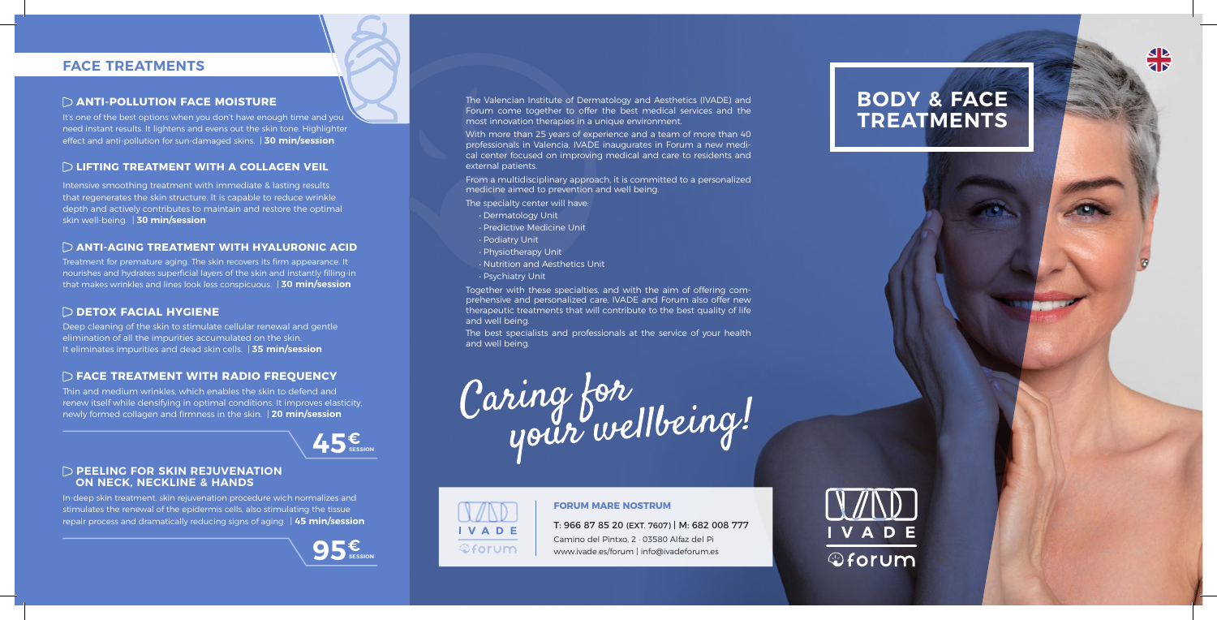# **FACE TREATMENTS**

#### **ANTI-POLLUTION FACE MOISTURE**

It's one of the best options when you don't have enough time and you need instant results. It lightens and evens out the skin tone. Highlighter effect and anti-pollution for sun-damaged skins. | **30 min/session**

### **LIFTING TREATMENT WITH A COLLAGEN VEIL**

Intensive smoothing treatment with immediate & lasting results that regenerates the skin structure. It is capable to reduce wrinkle depth and actively contributes to maintain and restore the optimal skin well-being. | **30 min/session**

#### **ANTI-AGING TREATMENT WITH HYALURONIC ACID**

Treatment for premature aging. The skin recovers its firm appearance. It nourishes and hydrates superficial layers of the skin and instantly filling-in that makes wrinkles and lines look less conspicuous. | **30 min/session**

#### **DETOX FACIAL HYGIENE**

Deep cleaning of the skin to stimulate cellular renewal and gentle elimination of all the impurities accumulated on the skin. It eliminates impurities and dead skin cells. | **35 min/session**

### **FACE TREATMENT WITH RADIO FREQUENCY**

Thin and medium wrinkles, which enables the skin to defend and renew itself while densifying in optimal conditions. It improves elasticity, newly formed collagen and firmness in the skin. | **20 min/session**



#### **PEELING FOR SKIN REJUVENATION ON NECK, NECKLINE & HANDS**

In-deep skin treatment, skin rejuvenation procedure wich normalizes and stimulates the renewal of the epidermis cells, also stimulating the tissue repair process and dramatically reducing signs of aging. | **45 min/session**



The Valencian Institute of Dermatology and Aesthetics (IVADE) and Forum come together to offer the best medical services and the most innovation therapies in a unique environment.

With more than 25 years of experience and a team of more than 40 professionals in Valencia, IVADE inaugurates in Forum a new medical center focused on improving medical and care to residents and external patients.

From a multidisciplinary approach, it is committed to a personalized medicine aimed to prevention and well being.

The specialty center will have:

- Dermatology Unit
- Predictive Medicine Unit
- Podiatry Unit
- Physiotherapy Unit
- Nutrition and Aesthetics Unit
- Psychiatry Unit

Together with these specialties, and with the aim of offering comprehensive and personalized care, IVADE and Forum also offer new therapeutic treatments that will contribute to the best quality of life and well being.

The best specialists and professionals at the service of your health and well being.





#### **FORUM MARE NOSTRUM**

T: 966 87 85 20 (EXT. 7607) | M: 682 008 777 Camino del Pintxo, 2 · 03580 Alfaz del Pi www.ivade.es/forum | info@ivadeforum.es





 $\overline{\mathbf{z}}$   $\overline{\mathbf{S}}$